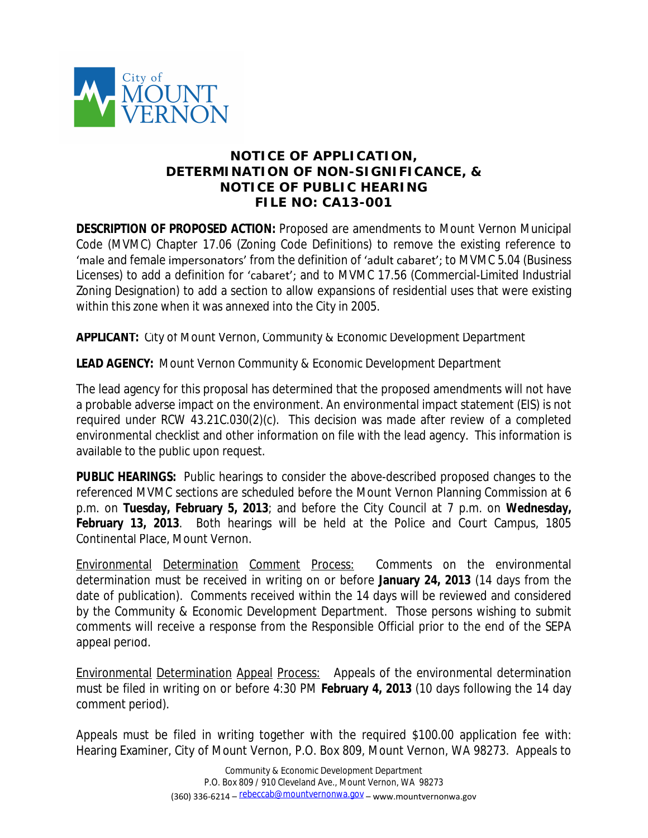

## **NOTICE OF APPLICATION, DETERMINATION OF NON-SIGNIFICANCE, & NOTICE OF PUBLIC HEARING FILE NO: CA13-001**

**DESCRIPTION OF PROPOSED ACTION:** Proposed are amendments to Mount Vernon Municipal Code (MVMC) Chapter 17.06 (Zoning Code Definitions) to remove the existing reference to 'male and female impersonators' from the definition of 'adult cabaret'; to MVMC 5.04 (Business Licenses) to add a definition for 'cabaret'; and to MVMC 17.56 (Commercial-Limited Industrial Zoning Designation) to add a section to allow expansions of residential uses that were existing within this zone when it was annexed into the City in 2005.

**APPLICANT:** City of Mount Vernon, Community & Economic Development Department

**LEAD AGENCY:** Mount Vernon Community & Economic Development Department

The lead agency for this proposal has determined that the proposed amendments will not have a probable adverse impact on the environment. An environmental impact statement (EIS) is not required under RCW 43.21C.030(2)(c). This decision was made after review of a completed environmental checklist and other information on file with the lead agency. This information is available to the public upon request.

**PUBLIC HEARINGS:** Public hearings to consider the above-described proposed changes to the referenced MVMC sections are scheduled before the Mount Vernon Planning Commission at 6 p.m. on **Tuesday, February 5, 2013**; and before the City Council at 7 p.m. on **Wednesday, February 13, 2013**. Both hearings will be held at the Police and Court Campus, 1805 Continental Place, Mount Vernon.

Environmental Determination Comment Process: Comments on the environmental determination must be received in writing on or before **January 24, 2013** (14 days from the date of publication). Comments received within the 14 days will be reviewed and considered by the Community & Economic Development Department. Those persons wishing to submit comments will receive a response from the Responsible Official prior to the end of the SEPA appeal period.

Environmental Determination Appeal Process: Appeals of the environmental determination must be filed in writing on or before 4:30 PM **February 4, 2013** (10 days following the 14 day comment period).

Appeals must be filed in writing together with the required \$100.00 application fee with: Hearing Examiner, City of Mount Vernon, P.O. Box 809, Mount Vernon, WA 98273. Appeals to